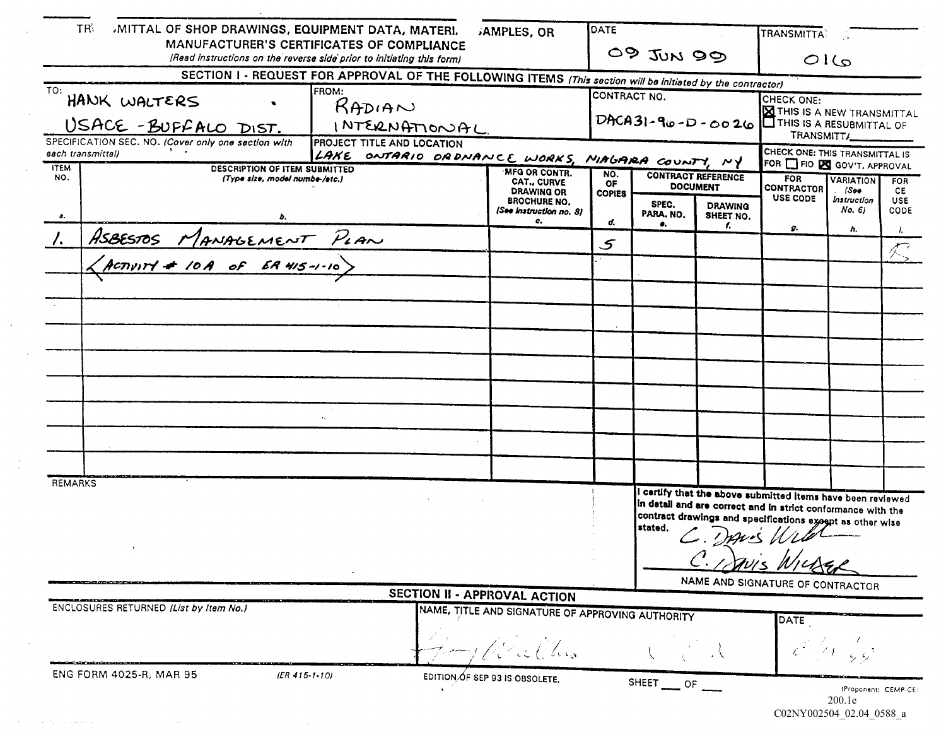| <b>TR</b><br>SMITTAL OF SHOP DRAWINGS, EQUIPMENT DATA, MATERI,<br>MANUFACTURER'S CERTIFICATES OF COMPLIANCE |                                                                        |                                                                                                                                                       | <b>JAMPLES, OR</b>                                                        | <b>OATE</b>         | 09 JUN 99                                    |                             | TRANSMITTA                                                                                                                                                                                                                                  |                                     |                    |
|-------------------------------------------------------------------------------------------------------------|------------------------------------------------------------------------|-------------------------------------------------------------------------------------------------------------------------------------------------------|---------------------------------------------------------------------------|---------------------|----------------------------------------------|-----------------------------|---------------------------------------------------------------------------------------------------------------------------------------------------------------------------------------------------------------------------------------------|-------------------------------------|--------------------|
|                                                                                                             |                                                                        | (Read instructions on the reverse side prior to initiating this form)                                                                                 |                                                                           |                     |                                              |                             | Q1G                                                                                                                                                                                                                                         |                                     |                    |
| TO:<br>HANK WALTERS                                                                                         | USACE-BUFFALO DIST.                                                    | SECTION I - REQUEST FOR APPROVAL OF THE FOLLOWING ITEMS (This section will be initiated by the contractor)<br><b>FROM:</b><br>RADIAN<br>INTERNATIONAL |                                                                           | CONTRACT NO.        | $DACA31 - 90 - D - 0026$                     |                             | CHECK ONE:<br><b>X</b> THIS IS A NEW TRANSMITTAL<br>THIS IS A RESUBMITTAL OF<br>TRANSMITT/                                                                                                                                                  |                                     |                    |
| each transmittal)                                                                                           | SPECIFICATION SEC. NO. (Cover only one section with                    | <b>PROJECT TITLE AND LOCATION</b><br>LAKE ONTARIO ORDNANCE WORKS, MIAGARA COUNTY, NY                                                                  |                                                                           |                     |                                              |                             | CHECK ONE: THIS TRANSMITTAL IS                                                                                                                                                                                                              |                                     |                    |
| <b>ITEM</b><br>NO.                                                                                          | <b>DESCRIPTION OF ITEM SUBMITTED</b><br>(Type size, model numbe-/etc.) |                                                                                                                                                       |                                                                           | NO.<br>OF           | <b>CONTRACT REFERENCE</b><br><b>DOCUMENT</b> |                             | FOR <b>T</b> FIO <b>ES</b> GOV'T, APPROVAL<br><b>FOR</b><br><b>VARIATION</b><br><b>FOR</b><br><b>CONTRACTOR</b><br>$ S$ 00<br>CE.                                                                                                           |                                     |                    |
| Δ.                                                                                                          |                                                                        |                                                                                                                                                       | <b>DRAWING OR</b><br><b>BROCHURE NO.</b><br>(See Instruction no. 8)<br>o. | <b>COPIES</b><br>d. | SPEC.<br>PARA. NO.                           | <b>DRAWING</b><br>SHEET NO. | <b>USE CODE</b>                                                                                                                                                                                                                             | <i><b>Instruction</b></i><br>No. 61 | USE<br><b>CODE</b> |
|                                                                                                             |                                                                        |                                                                                                                                                       |                                                                           |                     |                                              | г.                          | д.                                                                                                                                                                                                                                          | h.                                  |                    |
|                                                                                                             | ASBESTOS MANAGEMENT PLAN                                               |                                                                                                                                                       |                                                                           | 5                   |                                              |                             |                                                                                                                                                                                                                                             |                                     |                    |
|                                                                                                             |                                                                        |                                                                                                                                                       |                                                                           |                     |                                              |                             |                                                                                                                                                                                                                                             |                                     |                    |
|                                                                                                             |                                                                        |                                                                                                                                                       |                                                                           |                     |                                              |                             |                                                                                                                                                                                                                                             |                                     |                    |
|                                                                                                             |                                                                        |                                                                                                                                                       |                                                                           |                     |                                              |                             |                                                                                                                                                                                                                                             |                                     |                    |
|                                                                                                             |                                                                        |                                                                                                                                                       |                                                                           |                     |                                              |                             |                                                                                                                                                                                                                                             |                                     |                    |
|                                                                                                             |                                                                        |                                                                                                                                                       |                                                                           |                     |                                              |                             |                                                                                                                                                                                                                                             |                                     |                    |
|                                                                                                             |                                                                        |                                                                                                                                                       |                                                                           |                     |                                              |                             |                                                                                                                                                                                                                                             |                                     |                    |
|                                                                                                             |                                                                        |                                                                                                                                                       |                                                                           |                     |                                              |                             |                                                                                                                                                                                                                                             |                                     |                    |
|                                                                                                             |                                                                        |                                                                                                                                                       |                                                                           |                     |                                              |                             |                                                                                                                                                                                                                                             |                                     |                    |
|                                                                                                             |                                                                        |                                                                                                                                                       |                                                                           |                     |                                              |                             |                                                                                                                                                                                                                                             |                                     |                    |
|                                                                                                             |                                                                        |                                                                                                                                                       |                                                                           |                     |                                              |                             |                                                                                                                                                                                                                                             |                                     |                    |
| <b>REMARKS</b>                                                                                              |                                                                        |                                                                                                                                                       |                                                                           |                     |                                              |                             |                                                                                                                                                                                                                                             |                                     |                    |
|                                                                                                             |                                                                        |                                                                                                                                                       |                                                                           |                     | stated.                                      |                             | I certify that the above submitted items have been reviewed<br>in detail and are correct and in strict conformance with the<br>contract drawings and specifications except as other wise<br>- DANS Wild<br>NAME AND SIGNATURE OF CONTRACTOR |                                     |                    |
|                                                                                                             |                                                                        |                                                                                                                                                       | <b>SECTION II - APPROVAL ACTION</b>                                       |                     |                                              |                             |                                                                                                                                                                                                                                             |                                     |                    |
|                                                                                                             | ENCLOSURES RETURNED (List by Item No.)                                 |                                                                                                                                                       | NAME, TITLE AND SIGNATURE OF APPROVING AUTHORITY                          |                     |                                              |                             | <b>DATE</b>                                                                                                                                                                                                                                 |                                     |                    |
| ENG FORM 4025-R, MAR 95                                                                                     | (ER 415.1.10)                                                          |                                                                                                                                                       | EDITION OF SEP 93 IS OBSOLETE.                                            |                     | SHEET __ OF _                                |                             |                                                                                                                                                                                                                                             | (Proponent: CEMP-CE)                |                    |

 $CO2NY002504\_02.04\_0588\_a$ 

 $\mathcal{O}(\mathcal{A})$  . The second constraint is a second constraint of  $\mathcal{O}(\mathcal{A})$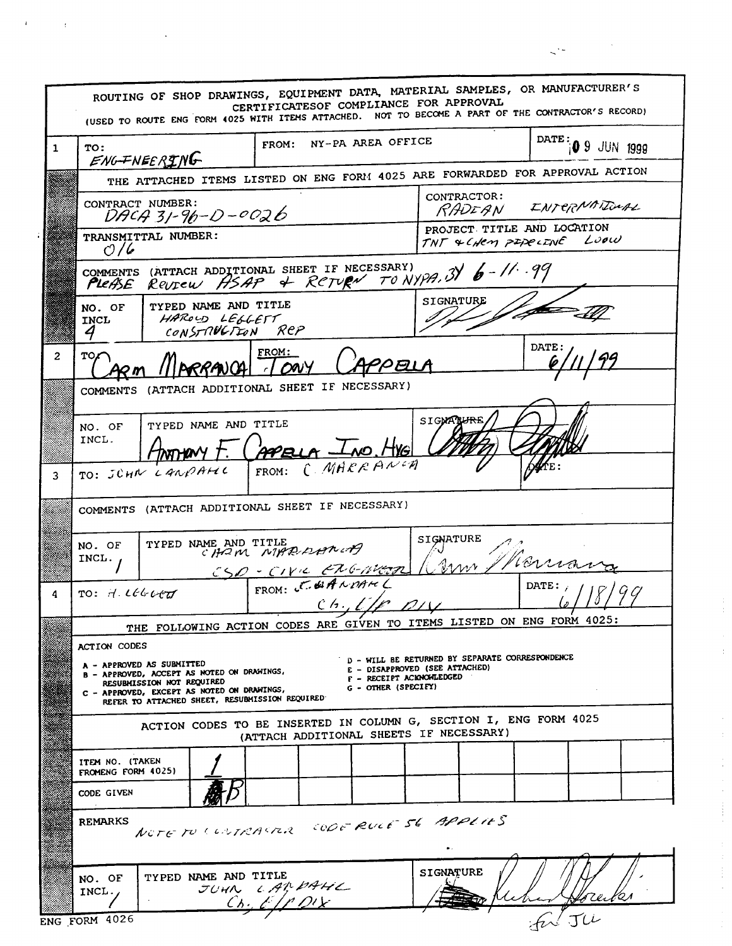ROUTING OF SHOP DRAWINGS, EQUIPMENT DATA, MATERIAL SAMPLES, OR MANUFACTURER'S CERTIFICATESOF COMPLIANCE FOR APPROVAL (USED TO ROUTE ENG FORM 4025 WITH ITEMS ATTACHED. NOT TO BECOME A PART OF THE CONTRACTOR'S RECORD) DATE: 0 9 JUN 1999 FROM: NY-PA AREA OFFICE  $\mathbf{1}$ TO: ENGINEERING THE ATTACHED ITEMS LISTED ON ENG FORM 4025 ARE FORWARDED FOR APPROVAL ACTION CONTRACTOR: CONTRACT NUMBER: INTERNATIONAL RADEAN  $DACA 31 - 96 - D - 0026$ PROJECT TITLE AND LOCATION TRANSMITTAL NUMBER: Loow TNT & CHEM PIPECINE  $O/6$ COMMENTS (ATTACH ADDITIONAL SHEET IF NECESSARY)<br>PLEASE REUTEW HSAP & RCTURN TO N. Review ASAP & RETURN TO NYPA, 3 6-11.99 SIGNATURE TYPED NAME AND TITLE NO. OF HAROLD LEGLETT<br>CONSTRUCTION REP INCL 4 DATE. FROM:  $\overline{2}$ **TO** APPEL RRANCA  $100y$ COMMENTS (ATTACH ADDITIONAL SHEET IF NECESSARY) SIGMATHER TYPED NAME AND TITLE NO. OF INCL. APELA LNO. HYG montary + CMARRANCH TO: JUHN LANDAHIC FROM: 3 COMMENTS (ATTACH ADDITIONAL SHEET IF NECESSARY) SIGNATURE TYPED NAME AND TITLE NO. OF CHOM NIPP DAMN  $NCL$ . Rom CSD - CIVIC EXGIVET DATE:  $TO: H. LCELCT$ 4  $CA.$ THE FOLLOWING ACTION CODES ARE GIVEN TO ITEMS LISTED ON ENG FORM 4025: ACTION CODES D - WILL BE RETURNED BY SEPARATE CORRESPONDENCE - APPROVED AS SUBMITTED E - DISAPPROVED (SEE ATTACHED) - APPROVED, ACCEPT AS NOTED ON DRAWINGS, F - RECEIPT ACKNOWLEDGED RESUBMISSION NOT REQUIRED G - OTHER (SPECIFY) - APPROVED, EXCEPT AS NOTED ON DRAWINGS, REFER TO ATTACHED SHEET, RESUBMISSION REQUIRED ACTION CODES TO BE INSERTED IN COLUMN G, SECTION I, ENG FORM 4025 (ATTACH ADDITIONAL SHEETS IF NECESSARY) ITEM NO. (TAKEN FROMENG FORM 4025) CODE GIVEN NOTE TO CONTRACTOR CODE RULE SE APPLIES **REMARKS SIGNATURE** TYPED NAME AND TITLE NO. OF JUHN LARDAHL INCL.  $Ch_2$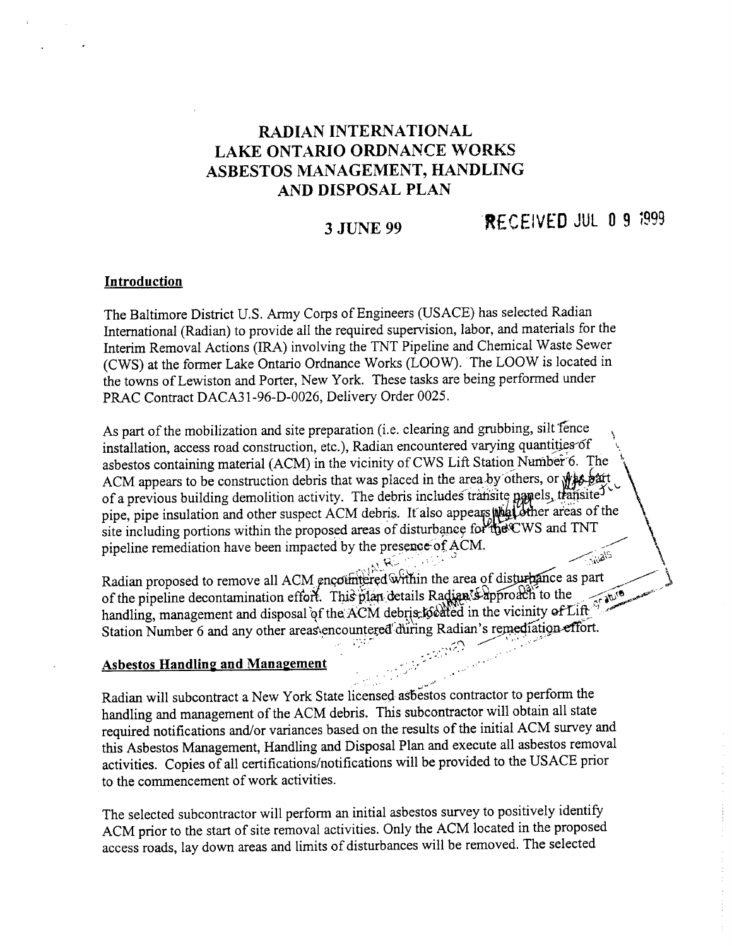## RADIAN INTERNATIONAL LAKE ONTARIO ORDNANCE WORKS ASBESTOS MANAGEMENT, HANDLING AND DISPOSAL PLAN

# 3 JUNE 99 RECEIVED JUL 0 9  $1999$

#### Introduction

The Baltimore District U.S. Army Corps of Engineers (USACE) has selected Radian International (Radian) to provide all the required supervision, labor, and materials for the Interim Removal Actions (IRA) involving the TNT Pipeline and Chemical Waste Sewer (CWS) at the former Lake Ontario Ordnance Works (LOOW). The LOOW is located in the towns of Lewiston and Porter, New York. These tasks are being performed under PRAC Contract DACA31-96-D-0026, Delivery Order 0025.

As part of the mobilization and site preparation (i.e. clearing and grubbing, silt fence installation, access road construction, etc.), Radian encountered varying quantities of asbestos containing material (ACM) in the vicinity of CWS Lift Station Number 6. The ACM appears to be construction debris that was placed in the area by others, or  $\mathcal{P}$ of a previous building demolition activity. The debris includes transite papels, transited pipe, pipe insulation and other suspect ACM debris. It also appears with dether areas of the site including portions within the proposed areas of disturbance for the CWS and TNT pipeline remediation have been impacted by the presence of ACM.

Proposed to remove all ACM encountered within the area of disturbance as part<br>of the pipeline decontamination effort. This plan details Radian<sup>x5</sup> approach to the of the pipeline decontamination effort. This plan details Radian  $\frac{1}{2}$  approach to the handling, management and disposal of the ACM debrist to the in the vicinity of Lift Station Number 6 and any other areas\encountered during Radian's remediation effort.

### **Asbestos Handling and Management**

Radian will subcontract a New York State licensed asbestos contractor to perform the handling and management of the ACM debris. This subcontractor will obtain all state required notifications and/or variances based on the results of the initial ACM survey and this Asbestos Management, Handling and Disposal Plan and execute all asbestos removal activities. Copies of all certifications/notifications will be provided to the USACE prior to the commencement of work activities

The selected subcontractor will perform an initial asbestos survey to positively identify ACM prior to the start of site removal activities Only the ACM located in the proposed access roads, lay down areas and limits of disturbances will be removed. The selected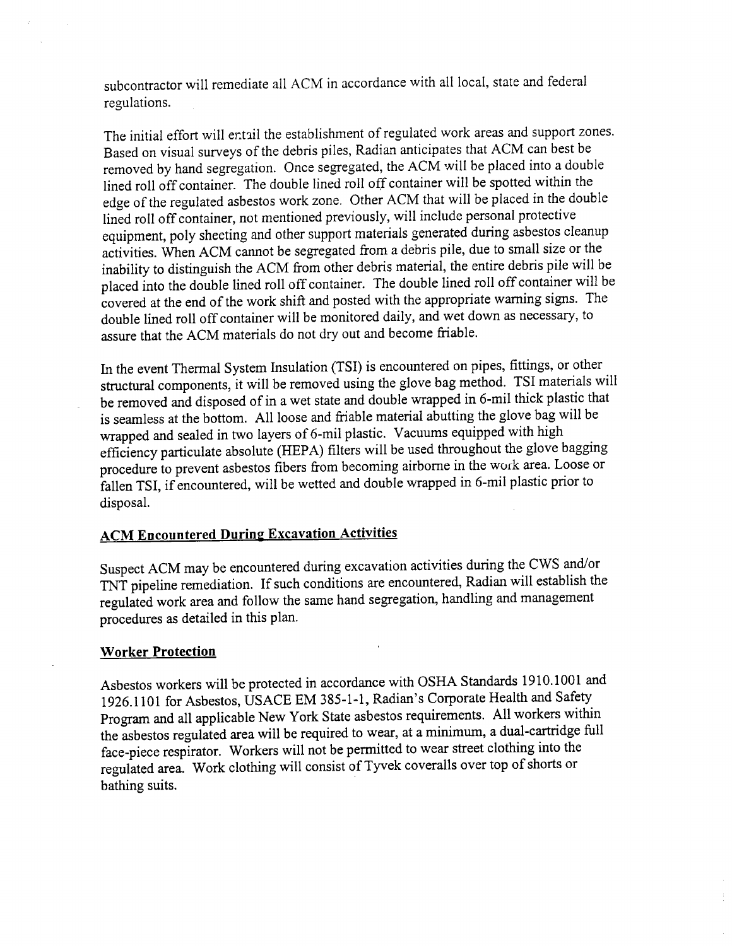subcontractor will remediate all ACM in accordance with all local, state and federal regulations

The initial effort will entail the establishment of regulated work areas and support zones. Based on visual surveys of the debris piles Radian anticipates that ACM can best be removed by hand segregation. Once segregated, the ACM will be placed into a double lined roll off container. The double lined roll off container will be spotted within the edge of the regulated asbestos work zone. Other ACM that will be placed in the double lined roll off container, not mentioned previously, will include personal protective equipment, poly sheeting and other support materials generated during asbestos cleanup activities. When ACM cannot be segregated from a debris pile, due to small size or the inability to distinguish the ACM from other debris material, the entire debris pile will be placed into the double lined roll off container The double lined roll off container will be covered at the end of the work shift and posted with the appropriate warning signs. The double lined roll off container will be monitored daily, and wet down as necessary, to assure that the ACM materials do not dry out and become friable

In the event Thermal System Insulation (TSI) is encountered on pipes, fittings, or other structural components, it will be removed using the glove bag method. TSI materials will be removed and disposed of in a wet state and double wrapped in 6-mil thick plastic that is seamless at the bottom. All loose and friable material abutting the glove bag will be wrapped and sealed in two layers of 6-mil plastic. Vacuums equipped with high efficiency particulate absolute (HEPA) filters will be used throughout the glove bagging procedure to prevent asbestos fibers from becoming airborne in the work area Loose or fallen TSI, if encountered, will be wetted and double wrapped in 6-mil plastic prior to disposal

#### ACM Encountered During Excavation Activities

Suspect ACM may be encountered during excavation activities during the CWS and/or TNT pipeline remediation. If such conditions are encountered, Radian will establish the regulated work area and follow the same hand segregation, handling and management procedures as detailed in this plan

#### Worker Protection

Asbestos workers will be protected in accordance with OSHA Standards 1910.1001 and 1926.1101 for Asbestos, USACE EM 385-1-1, Radian's Corporate Health and Safety Program and all applicable New York State asbestos requirements. All workers within the asbestos regulated area will be required to wear, at a minimum, a dual-cartridge full face-piece respirator. Workers will not be permitted to wear street clothing into the regulated area. Work clothing will consist of Tyvek coveralls over top of shorts or bathing suits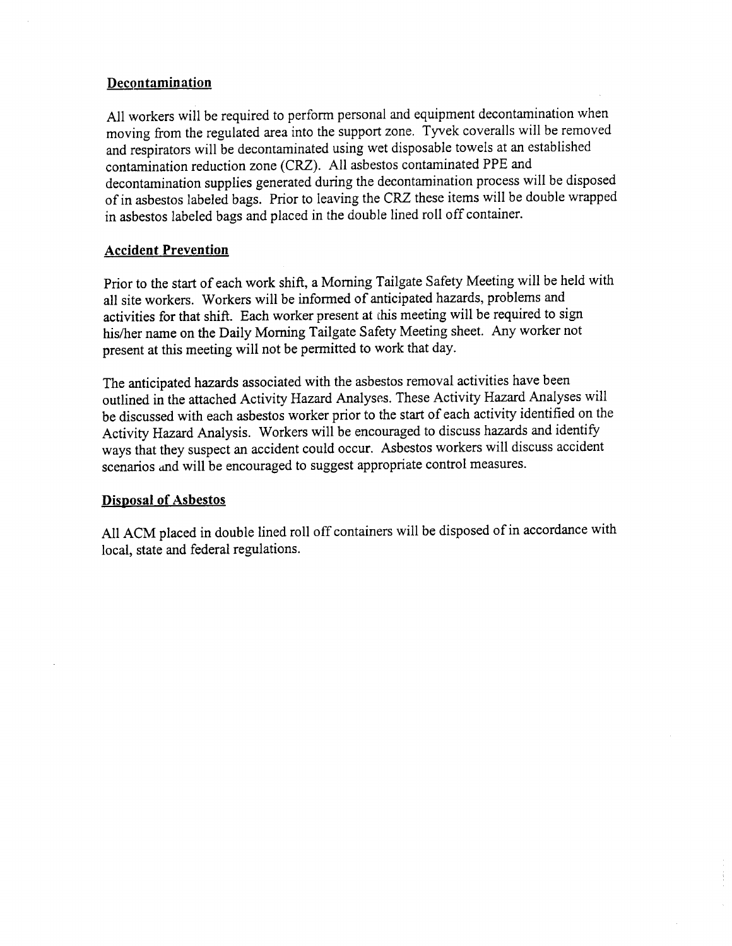#### Decontamination

All workers will be required to perform personal and equipment decontamination when moving from the regulated area into the support zone. Tyvek coveralls will be removed and respirators will be decontaminated using wet disposable towels at an established contamination reduction zone (CRZ). All asbestos contaminated PPE and decontamination supplies generated during the decontamination process will be disposed of in asbestos labeled bags. Prior to leaving the CRZ these items will be double wrapped in asbestos labeled bags and placed in the double lined roll off container

### Accident Prevention

Prior to the start of each work shift, a Morning Tailgate Safety Meeting will be held with all site workers. Workers will be informed of anticipated hazards, problems and activities for that shift. Each worker present at this meeting will be required to sign his/her name on the Daily Morning Tailgate Safety Meeting sheet. Any worker not present at this meeting will not be permitted to work that day

The anticipated hazards associated with the asbestos removal activities have been outlined in the attached Activity Hazard Analyses These Activity Hazard Analyses will be discussed with each asbestos worker prior to the start of each activity identified on the Activity Hazard Analysis. Workers will be encouraged to discuss hazards and identify ways that they suspect an accident could occur. Asbestos workers will discuss accident scenarios and will be encouraged to suggest appropriate control measures.

#### Disposal of Asbestos

All ACM placed in double lined roll off containers will be disposed of in accordance with local, state and federal regulations.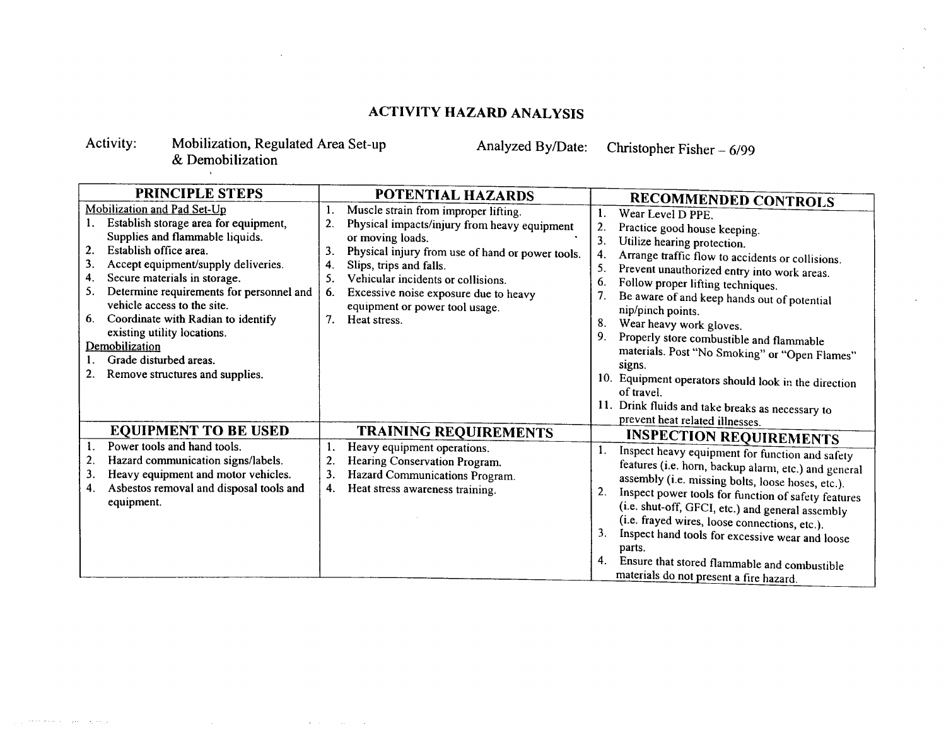## ACTIVITY HAZARD ANALYSIS

#### Activity: Mobilization, Regulated Area Set-up **Demobilization**

 $\mathcal{A}=\mathcal{A}=\mathcal{A}=\mathcal{A}$  .

 $\sim$ 

Analyzed By/Date: Christopher Fisher  $-6/99$ 

| <b>PRINCIPLE STEPS</b>                                                                                                                                                                                                                                                                                                                                                                                                                                                | POTENTIAL HAZARDS                                                                                                                                                                                                                                                                                                                                                                            | <b>RECOMMENDED CONTROLS</b>                                                                                                                                                                                                                                                                                                                                                                                                                                                                                                                                                                                    |  |  |
|-----------------------------------------------------------------------------------------------------------------------------------------------------------------------------------------------------------------------------------------------------------------------------------------------------------------------------------------------------------------------------------------------------------------------------------------------------------------------|----------------------------------------------------------------------------------------------------------------------------------------------------------------------------------------------------------------------------------------------------------------------------------------------------------------------------------------------------------------------------------------------|----------------------------------------------------------------------------------------------------------------------------------------------------------------------------------------------------------------------------------------------------------------------------------------------------------------------------------------------------------------------------------------------------------------------------------------------------------------------------------------------------------------------------------------------------------------------------------------------------------------|--|--|
| Mobilization and Pad Set-Up<br>Establish storage area for equipment,<br>Supplies and flammable liquids.<br>Establish office area.<br>2.<br>Accept equipment/supply deliveries.<br>3.<br>Secure materials in storage.<br>4.<br>Determine requirements for personnel and<br>5.<br>vehicle access to the site.<br>Coordinate with Radian to identify<br>6.<br>existing utility locations.<br>Demobilization<br>Grade disturbed areas.<br>Remove structures and supplies. | 1.<br>Muscle strain from improper lifting.<br>2.<br>Physical impacts/injury from heavy equipment<br>or moving loads.<br>3.<br>Physical injury from use of hand or power tools.<br>$\boldsymbol{4}$<br>Slips, trips and falls.<br>5.<br>Vehicular incidents or collisions.<br>6.<br>Excessive noise exposure due to heavy<br>equipment or power tool usage.<br>7 <sub>1</sub><br>Heat stress. | Wear Level D PPE.<br>2.<br>Practice good house keeping.<br>3 <sub>1</sub><br>Utilize hearing protection.<br>Arrange traffic flow to accidents or collisions.<br>5.<br>Prevent unauthorized entry into work areas.<br>Follow proper lifting techniques.<br>6.<br>7.<br>Be aware of and keep hands out of potential<br>nip/pinch points.<br>8.<br>Wear heavy work gloves.<br>9.<br>Properly store combustible and flammable<br>materials. Post "No Smoking" or "Open Flames"<br>signs.<br>10. Equipment operators should look in the direction<br>of travel.<br>11. Drink fluids and take breaks as necessary to |  |  |
| <b>EQUIPMENT TO BE USED</b>                                                                                                                                                                                                                                                                                                                                                                                                                                           | <b>TRAINING REQUIREMENTS</b>                                                                                                                                                                                                                                                                                                                                                                 | prevent heat related illnesses.                                                                                                                                                                                                                                                                                                                                                                                                                                                                                                                                                                                |  |  |
| Power tools and hand tools.<br>Hazard communication signs/labels.<br>2.<br>Heavy equipment and motor vehicles.<br>3.<br>Asbestos removal and disposal tools and<br>4.<br>equipment.                                                                                                                                                                                                                                                                                   | 1.<br>Heavy equipment operations.<br>$\overline{c}$<br>Hearing Conservation Program.<br>3.<br>Hazard Communications Program.<br>Heat stress awareness training.<br>4.                                                                                                                                                                                                                        | <b>INSPECTION REQUIREMENTS</b><br>Inspect heavy equipment for function and safety<br>features (i.e. horn, backup alarm, etc.) and general<br>assembly (i.e. missing bolts, loose hoses, etc.).<br>2.<br>Inspect power tools for function of safety features<br>(i.e. shut-off, GFCI, etc.) and general assembly<br>(i.e. frayed wires, loose connections, etc.).<br>3.<br>Inspect hand tools for excessive wear and loose<br>parts.<br>4.<br>Ensure that stored flammable and combustible<br>materials do not present a fire hazard.                                                                           |  |  |

and the second company  $-4.1463$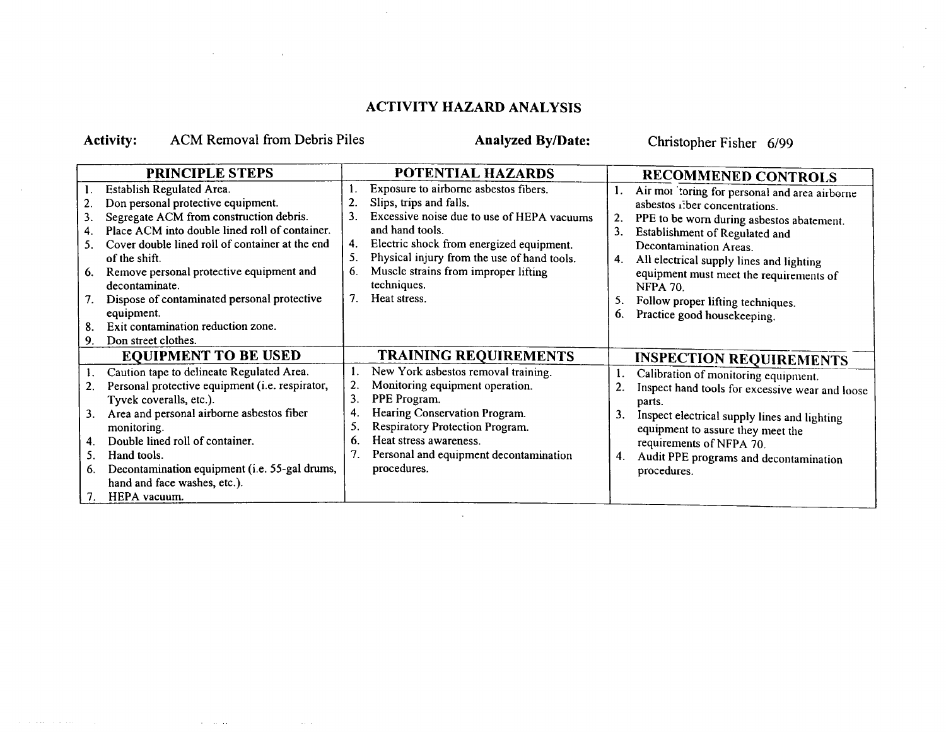## ACTIVITY HAZARD ANALYSIS

# Activity: ACM Removal from Debris Piles Analyzed By/Date: Christopher Fisher 6/99

 $\alpha$  ,  $\alpha$  ,  $\alpha$ 

 $\sim 10$ 

 $\epsilon$  , and the second constraints of

| <b>PRINCIPLE STEPS</b>      |                                                 | POTENTIAL HAZARDS |                                             |    | <b>RECOMMENED CONTROLS</b>                      |  |  |
|-----------------------------|-------------------------------------------------|-------------------|---------------------------------------------|----|-------------------------------------------------|--|--|
|                             | Establish Regulated Area.                       |                   | Exposure to airborne asbestos fibers.       |    | Air mor 'toring for personal and area airborne  |  |  |
|                             | Don personal protective equipment.              |                   | Slips, trips and falls.                     |    | asbestos iller concentrations.                  |  |  |
| 3.                          | Segregate ACM from construction debris.         | 3.                | Excessive noise due to use of HEPA vacuums  | 2. | PPE to be worn during asbestos abatement.       |  |  |
| 4.                          | Place ACM into double lined roll of container.  |                   | and hand tools.                             | 3. | Establishment of Regulated and                  |  |  |
| 5.                          | Cover double lined roll of container at the end | 4.                | Electric shock from energized equipment.    |    | Decontamination Areas.                          |  |  |
|                             | of the shift.                                   |                   | Physical injury from the use of hand tools. | 4. | All electrical supply lines and lighting        |  |  |
| 6.                          | Remove personal protective equipment and        | 6.                | Muscle strains from improper lifting        |    | equipment must meet the requirements of         |  |  |
|                             | decontaminate.                                  |                   | techniques.                                 |    | <b>NFPA 70.</b>                                 |  |  |
| 7.                          | Dispose of contaminated personal protective     | $7_{-}$           | Heat stress.                                | 5. | Follow proper lifting techniques.               |  |  |
|                             | equipment.                                      |                   |                                             | 6. | Practice good housekeeping.                     |  |  |
| 8.                          | Exit contamination reduction zone.              |                   |                                             |    |                                                 |  |  |
| 9.                          | Don street clothes.                             |                   |                                             |    |                                                 |  |  |
| <b>EQUIPMENT TO BE USED</b> |                                                 |                   | <b>TRAINING REQUIREMENTS</b>                |    | <b>INSPECTION REQUIREMENTS</b>                  |  |  |
|                             | Caution tape to delineate Regulated Area.       |                   | New York asbestos removal training.         |    | Calibration of monitoring equipment.            |  |  |
| 2.                          | Personal protective equipment (i.e. respirator, | 2.                | Monitoring equipment operation.             |    | Inspect hand tools for excessive wear and loose |  |  |
|                             | Tyvek coveralls, etc.).                         | 3.                | PPE Program.                                |    | parts.                                          |  |  |
| 3.                          | Area and personal airborne asbestos fiber       | 4.                | Hearing Conservation Program.               | 3. | Inspect electrical supply lines and lighting    |  |  |
|                             | monitoring.                                     | 5.                | Respiratory Protection Program.             |    | equipment to assure they meet the               |  |  |
| 4.                          | Double lined roll of container.                 | 6.                | Heat stress awareness.                      |    | requirements of NFPA 70.                        |  |  |
| 5 <sub>1</sub>              | Hand tools.                                     |                   | Personal and equipment decontamination      | 4. | Audit PPE programs and decontamination          |  |  |
| 6.                          | Decontamination equipment (i.e. 55-gal drums,   |                   | procedures.                                 |    | procedures.                                     |  |  |
|                             | hand and face washes, etc.).                    |                   |                                             |    |                                                 |  |  |
| 7.                          | HEPA vacuum.                                    |                   |                                             |    |                                                 |  |  |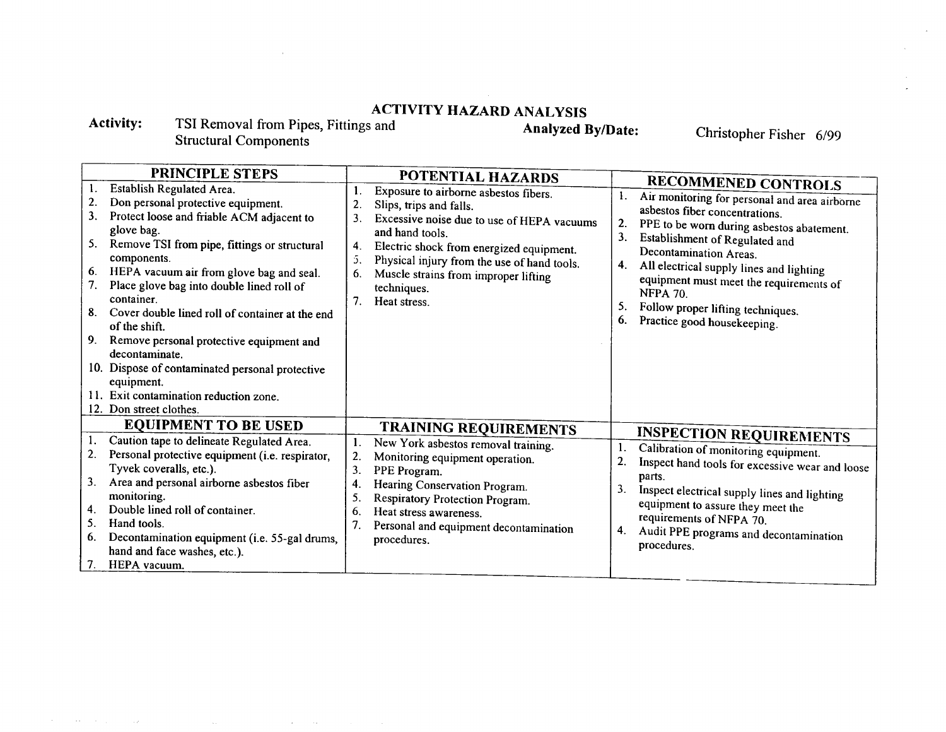# ACTIVITY HAZARD ANALYSIS

Activity: TSI Removal from Pipes, Fittings and Structural Component

 $\mathcal{F}^{\mathcal{A}}$  is the state of the state of the state of the state of the state of the state of

 $\sim 10^{-5}$ 

Analyzed By/Date: Christopher Fisher 6/99

| PRINCIPLE STEPS                              |                                                                                                                                                                                                                                                                                                                                                                                                                                                                                                                                                                          |                            | POTENTIAL HAZARDS                                                                                                                                                                                                                                                                                   |                      |                                                                                                                                                                                                                                                                                                                                                                                                      |  |
|----------------------------------------------|--------------------------------------------------------------------------------------------------------------------------------------------------------------------------------------------------------------------------------------------------------------------------------------------------------------------------------------------------------------------------------------------------------------------------------------------------------------------------------------------------------------------------------------------------------------------------|----------------------------|-----------------------------------------------------------------------------------------------------------------------------------------------------------------------------------------------------------------------------------------------------------------------------------------------------|----------------------|------------------------------------------------------------------------------------------------------------------------------------------------------------------------------------------------------------------------------------------------------------------------------------------------------------------------------------------------------------------------------------------------------|--|
| 1.<br>2.<br>3.<br>5.<br>6.<br>7.<br>8.<br>9. | Establish Regulated Area.<br>Don personal protective equipment.<br>Protect loose and friable ACM adjacent to<br>glove bag.<br>Remove TSI from pipe, fittings or structural<br>components.<br>HEPA vacuum air from glove bag and seal.<br>Place glove bag into double lined roll of<br>container.<br>Cover double lined roll of container at the end<br>of the shift.<br>Remove personal protective equipment and<br>decontaminate.<br>10. Dispose of contaminated personal protective<br>equipment.<br>11. Exit contamination reduction zone.<br>12. Don street clothes. | 2.<br>3.<br>4.<br>5.<br>6. | Exposure to airborne asbestos fibers.<br>Slips, trips and falls.<br>Excessive noise due to use of HEPA vacuums<br>and hand tools.<br>Electric shock from energized equipment.<br>Physical injury from the use of hand tools.<br>Muscle strains from improper lifting<br>techniques.<br>Heat stress. | 2.<br>3.<br>4.<br>6. | <b>RECOMMENED CONTROLS</b><br>Air monitoring for personal and area airborne<br>asbestos fiber concentrations.<br>PPE to be worn during asbestos abatement.<br>Establishment of Regulated and<br>Decontamination Areas.<br>All electrical supply lines and lighting<br>equipment must meet the requirements of<br><b>NFPA 70.</b><br>Follow proper lifting techniques.<br>Practice good housekeeping. |  |
|                                              | <b>EQUIPMENT TO BE USED</b>                                                                                                                                                                                                                                                                                                                                                                                                                                                                                                                                              |                            | <b>TRAINING REQUIREMENTS</b>                                                                                                                                                                                                                                                                        |                      |                                                                                                                                                                                                                                                                                                                                                                                                      |  |
| 2.<br>3.<br>4.<br>5.<br>6.<br>7.             | Caution tape to delineate Regulated Area.<br>Personal protective equipment (i.e. respirator,<br>Tyvek coveralls, etc.).<br>Area and personal airborne asbestos fiber<br>monitoring.<br>Double lined roll of container.<br>Hand tools.<br>Decontamination equipment (i.e. 55-gal drums,<br>hand and face washes, etc.).<br>HEPA vacuum.                                                                                                                                                                                                                                   | 2.<br>3.<br>4.<br>5.<br>6. | New York asbestos removal training.<br>Monitoring equipment operation.<br>PPE Program.<br>Hearing Conservation Program.<br>Respiratory Protection Program.<br>Heat stress awareness.<br>Personal and equipment decontamination<br>procedures.                                                       | 3.<br>4.             | <b>INSPECTION REQUIREMENTS</b><br>Calibration of monitoring equipment.<br>Inspect hand tools for excessive wear and loose<br>parts.<br>Inspect electrical supply lines and lighting<br>equipment to assure they meet the<br>requirements of NFPA 70.<br>Audit PPE programs and decontamination<br>procedures.                                                                                        |  |